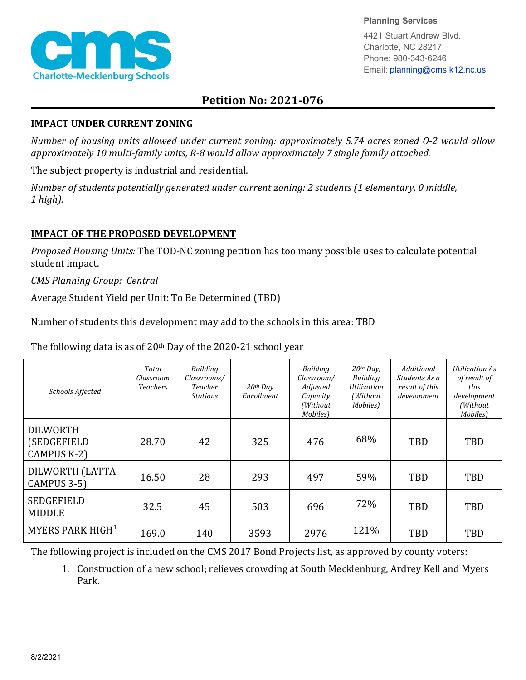

**Planning Services**

4421 Stuart Andrew Blvd. Charlotte, NC 28217 Phone: 980-343-6246 Email: planning@cms.k12.nc.us

## **Petition No: 2021-076**

## **IMPACT UNDER CURRENT ZONING**

*Number of housing units allowed under current zoning: approximately 5.74 acres zoned O-2 would allow approximately 10 multi-family units, R-8 would allow approximately 7 single family attached.*

The subject property is industrial and residential.

*Number of students potentially generated under current zoning: 2 students (1 elementary, 0 middle, 1 high).*

## **IMPACT OF THE PROPOSED DEVELOPMENT**

*Proposed Housing Units:* The TOD-NC zoning petition has too many possible uses to calculate potential student impact.

*CMS Planning Group: Central*

Average Student Yield per Unit: To Be Determined (TBD)

Number of students this development may add to the schools in this area: TBD

The following data is as of 20th Day of the 2020-21 school year

| Schools Affected                                     | Total<br>Classroom<br><b>Teachers</b> | <b>Building</b><br>Classrooms/<br>Teacher<br><b>Stations</b> | $20th$ Day<br>Enrollment | Building<br>Classroom/<br>Adjusted<br>Capacity<br>(Without<br>Mobiles) | $20th$ Day,<br>Building<br>Utilization<br>(Without)<br>Mobiles) | Additional<br>Students As a<br>result of this<br>development | <b>Utilization As</b><br>of result of<br>this<br>development<br>(Without<br>Mobiles) |
|------------------------------------------------------|---------------------------------------|--------------------------------------------------------------|--------------------------|------------------------------------------------------------------------|-----------------------------------------------------------------|--------------------------------------------------------------|--------------------------------------------------------------------------------------|
| <b>DILWORTH</b><br>(SEDGEFIELD<br><b>CAMPUS K-2)</b> | 28.70                                 | 42                                                           | 325                      | 476                                                                    | 68%                                                             | TBD                                                          | TBD                                                                                  |
| DILWORTH (LATTA<br>CAMPUS 3-5)                       | 16.50                                 | 28                                                           | 293                      | 497                                                                    | 59%                                                             | TBD                                                          | <b>TBD</b>                                                                           |
| <b>SEDGEFIELD</b><br><b>MIDDLE</b>                   | 32.5                                  | 45                                                           | 503                      | 696                                                                    | 72%                                                             | <b>TBD</b>                                                   | TBD                                                                                  |
| MYERS PARK HIGH <sup>1</sup>                         | 169.0                                 | 140                                                          | 3593                     | 2976                                                                   | 121%                                                            | <b>TBD</b>                                                   | TBD                                                                                  |

The following project is included on the CMS 2017 Bond Projects list, as approved by county voters:

1. Construction of a new school; relieves crowding at South Mecklenburg, Ardrey Kell and Myers Park.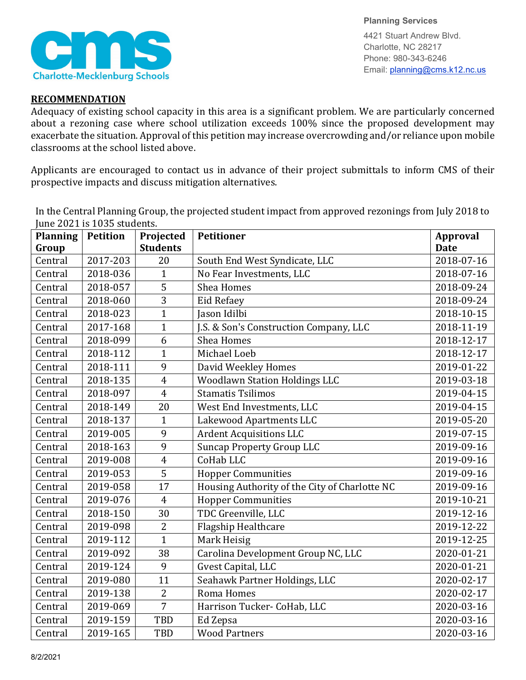

**Planning Services** 4421 Stuart Andrew Blvd. Charlotte, NC 28217 Phone: 980-343-6246 Email: planning@cms.k12.nc.us

## **RECOMMENDATION**

Adequacy of existing school capacity in this area is a significant problem. We are particularly concerned about a rezoning case where school utilization exceeds 100% since the proposed development may exacerbate the situation. Approval of this petition may increase overcrowding and/or reliance upon mobile classrooms at the school listed above.

Applicants are encouraged to contact us in advance of their project submittals to inform CMS of their prospective impacts and discuss mitigation alternatives.

In the Central Planning Group, the projected student impact from approved rezonings from July 2018 to June 2021 is 1035 students.

| <b>Planning</b> | <b>Petition</b> | Projected       | <b>Petitioner</b>                             | Approval    |
|-----------------|-----------------|-----------------|-----------------------------------------------|-------------|
| Group           |                 | <b>Students</b> |                                               | <b>Date</b> |
| Central         | 2017-203        | 20              | South End West Syndicate, LLC                 | 2018-07-16  |
| Central         | 2018-036        | $\mathbf{1}$    | No Fear Investments, LLC                      | 2018-07-16  |
| Central         | 2018-057        | $\overline{5}$  | <b>Shea Homes</b>                             | 2018-09-24  |
| Central         | 2018-060        | 3               | Eid Refaey                                    | 2018-09-24  |
| Central         | 2018-023        | $\overline{1}$  | Jason Idilbi                                  | 2018-10-15  |
| Central         | 2017-168        | $\mathbf{1}$    | J.S. & Son's Construction Company, LLC        | 2018-11-19  |
| Central         | 2018-099        | 6               | <b>Shea Homes</b>                             | 2018-12-17  |
| Central         | 2018-112        | $\mathbf{1}$    | Michael Loeb                                  | 2018-12-17  |
| Central         | 2018-111        | 9               | David Weekley Homes                           | 2019-01-22  |
| Central         | 2018-135        | $\overline{4}$  | <b>Woodlawn Station Holdings LLC</b>          | 2019-03-18  |
| Central         | 2018-097        | $\overline{4}$  | <b>Stamatis Tsilimos</b>                      | 2019-04-15  |
| Central         | 2018-149        | 20              | West End Investments, LLC                     | 2019-04-15  |
| Central         | 2018-137        | $\mathbf{1}$    | Lakewood Apartments LLC                       | 2019-05-20  |
| Central         | 2019-005        | 9               | <b>Ardent Acquisitions LLC</b>                | 2019-07-15  |
| Central         | 2018-163        | 9               | <b>Suncap Property Group LLC</b>              | 2019-09-16  |
| Central         | 2019-008        | $\overline{4}$  | CoHab LLC                                     | 2019-09-16  |
| Central         | 2019-053        | 5               | <b>Hopper Communities</b>                     | 2019-09-16  |
| Central         | 2019-058        | 17              | Housing Authority of the City of Charlotte NC | 2019-09-16  |
| Central         | 2019-076        | $\overline{4}$  | <b>Hopper Communities</b>                     | 2019-10-21  |
| Central         | 2018-150        | 30              | TDC Greenville, LLC                           | 2019-12-16  |
| Central         | 2019-098        | $\overline{2}$  | Flagship Healthcare                           | 2019-12-22  |
| Central         | 2019-112        | $\overline{1}$  | Mark Heisig                                   | 2019-12-25  |
| Central         | 2019-092        | 38              | Carolina Development Group NC, LLC            | 2020-01-21  |
| Central         | 2019-124        | 9               | Gvest Capital, LLC                            | 2020-01-21  |
| Central         | 2019-080        | 11              | Seahawk Partner Holdings, LLC                 | 2020-02-17  |
| Central         | 2019-138        | $\overline{2}$  | Roma Homes                                    | 2020-02-17  |
| Central         | 2019-069        | $\overline{7}$  | Harrison Tucker- CoHab, LLC                   | 2020-03-16  |
| Central         | 2019-159        | TBD             | Ed Zepsa                                      | 2020-03-16  |
| Central         | 2019-165        | TBD             | <b>Wood Partners</b>                          | 2020-03-16  |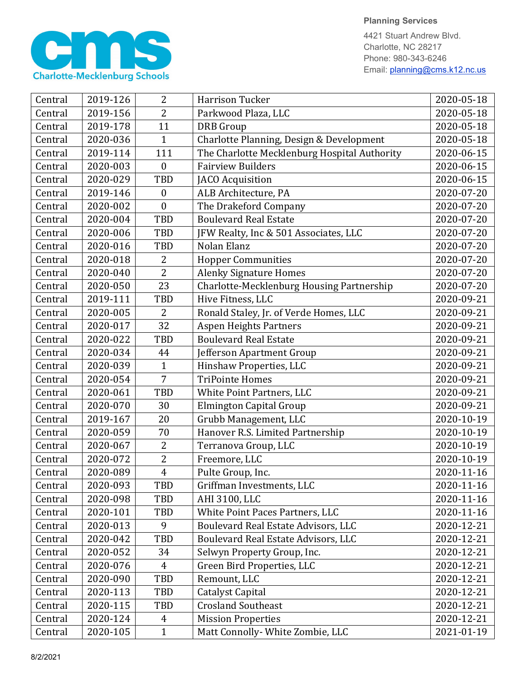

4421 Stuart Andrew Blvd. Charlotte, NC 28217 Phone: 980-343-6246 Email: planning@cms.k12.nc.us

| Central | 2019-126 | 2                | <b>Harrison Tucker</b>                       | 2020-05-18 |
|---------|----------|------------------|----------------------------------------------|------------|
| Central | 2019-156 | 2                | Parkwood Plaza, LLC                          | 2020-05-18 |
| Central | 2019-178 | 11               | <b>DRB</b> Group                             | 2020-05-18 |
| Central | 2020-036 | $\mathbf{1}$     | Charlotte Planning, Design & Development     | 2020-05-18 |
| Central | 2019-114 | 111              | The Charlotte Mecklenburg Hospital Authority | 2020-06-15 |
| Central | 2020-003 | $\boldsymbol{0}$ | <b>Fairview Builders</b>                     | 2020-06-15 |
| Central | 2020-029 | TBD              | JACO Acquisition                             | 2020-06-15 |
| Central | 2019-146 | $\boldsymbol{0}$ | ALB Architecture, PA                         | 2020-07-20 |
| Central | 2020-002 | $\boldsymbol{0}$ | The Drakeford Company                        | 2020-07-20 |
| Central | 2020-004 | TBD              | <b>Boulevard Real Estate</b>                 | 2020-07-20 |
| Central | 2020-006 | <b>TBD</b>       | JFW Realty, Inc & 501 Associates, LLC        | 2020-07-20 |
| Central | 2020-016 | TBD              | Nolan Elanz                                  | 2020-07-20 |
| Central | 2020-018 | 2                | <b>Hopper Communities</b>                    | 2020-07-20 |
| Central | 2020-040 | $\overline{2}$   | <b>Alenky Signature Homes</b>                | 2020-07-20 |
| Central | 2020-050 | 23               | Charlotte-Mecklenburg Housing Partnership    | 2020-07-20 |
| Central | 2019-111 | <b>TBD</b>       | Hive Fitness, LLC                            | 2020-09-21 |
| Central | 2020-005 | 2                | Ronald Staley, Jr. of Verde Homes, LLC       | 2020-09-21 |
| Central | 2020-017 | 32               | <b>Aspen Heights Partners</b>                | 2020-09-21 |
| Central | 2020-022 | TBD              | <b>Boulevard Real Estate</b>                 | 2020-09-21 |
| Central | 2020-034 | 44               | Jefferson Apartment Group                    | 2020-09-21 |
| Central | 2020-039 | $\mathbf{1}$     | Hinshaw Properties, LLC                      | 2020-09-21 |
| Central | 2020-054 | $\overline{7}$   | <b>TriPointe Homes</b>                       | 2020-09-21 |
| Central | 2020-061 | <b>TBD</b>       | White Point Partners, LLC                    | 2020-09-21 |
| Central | 2020-070 | 30               | <b>Elmington Capital Group</b>               | 2020-09-21 |
| Central | 2019-167 | 20               | Grubb Management, LLC                        | 2020-10-19 |
| Central | 2020-059 | 70               | Hanover R.S. Limited Partnership             | 2020-10-19 |
| Central | 2020-067 | 2                | Terranova Group, LLC                         | 2020-10-19 |
| Central | 2020-072 | $\overline{2}$   | Freemore, LLC                                | 2020-10-19 |
| Central | 2020-089 | $\overline{4}$   | Pulte Group, Inc.                            | 2020-11-16 |
| Central | 2020-093 | TBD              | Griffman Investments, LLC                    | 2020-11-16 |
| Central | 2020-098 | TBD              | AHI 3100, LLC                                | 2020-11-16 |
| Central | 2020-101 | TBD              | White Point Paces Partners, LLC              | 2020-11-16 |
| Central | 2020-013 | 9                | Boulevard Real Estate Advisors, LLC          | 2020-12-21 |
| Central | 2020-042 | <b>TBD</b>       | Boulevard Real Estate Advisors, LLC          | 2020-12-21 |
| Central | 2020-052 | 34               | Selwyn Property Group, Inc.                  | 2020-12-21 |
| Central | 2020-076 | $\overline{4}$   | Green Bird Properties, LLC                   | 2020-12-21 |
| Central | 2020-090 | TBD              | Remount, LLC                                 | 2020-12-21 |
| Central | 2020-113 | TBD              | <b>Catalyst Capital</b>                      | 2020-12-21 |
| Central | 2020-115 | TBD              | <b>Crosland Southeast</b>                    | 2020-12-21 |
| Central | 2020-124 | 4                | <b>Mission Properties</b>                    | 2020-12-21 |
| Central | 2020-105 | $\mathbf{1}$     | Matt Connolly- White Zombie, LLC             | 2021-01-19 |